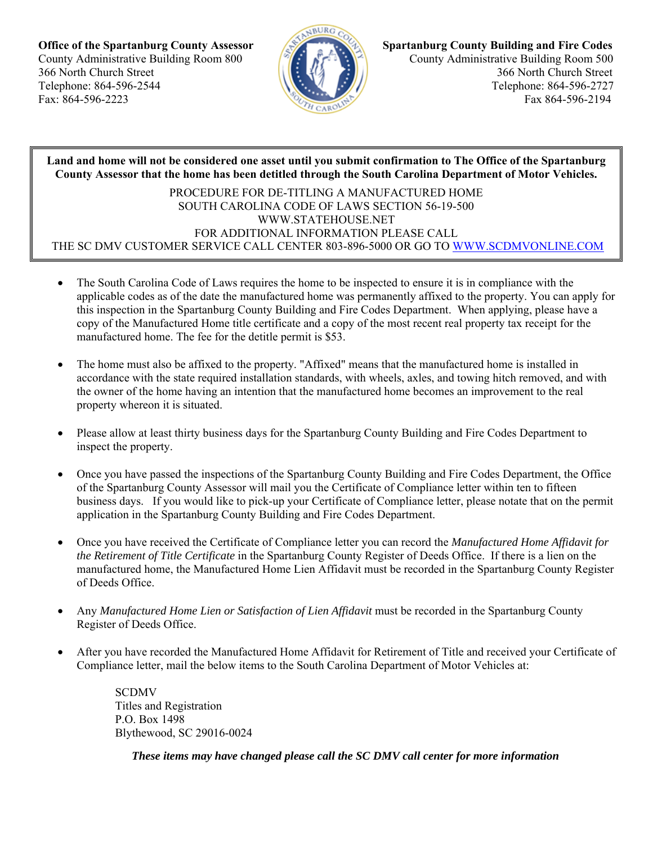

**Office of the Spartanburg County Assessor Spartanburg County Building and Fire Codes** County Administrative Building Room 800 **PACK ADMINISTY** County Administrative Building Room 500 366 North Church Street 366 North Church Street Telephone: 864-596-2544 Telephone: 864-596-2727 Fax: 864-596-2223 Fax 864-596-2194

**Land and home will not be considered one asset until you submit confirmation to The Office of the Spartanburg County Assessor that the home has been detitled through the South Carolina Department of Motor Vehicles.**

PROCEDURE FOR DE-TITLING A MANUFACTURED HOME SOUTH CAROLINA CODE OF LAWS SECTION 56-19-500 WWW.STATEHOUSE.NET FOR ADDITIONAL INFORMATION PLEASE CALL THE SC DMV CUSTOMER SERVICE CALL CENTER 803-896-5000 OR GO TO WWW.SCDMVONLINE.COM

- The South Carolina Code of Laws requires the home to be inspected to ensure it is in compliance with the applicable codes as of the date the manufactured home was permanently affixed to the property. You can apply for this inspection in the Spartanburg County Building and Fire Codes Department. When applying, please have a copy of the Manufactured Home title certificate and a copy of the most recent real property tax receipt for the manufactured home. The fee for the detitle permit is \$53.
- The home must also be affixed to the property. "Affixed" means that the manufactured home is installed in accordance with the state required installation standards, with wheels, axles, and towing hitch removed, and with the owner of the home having an intention that the manufactured home becomes an improvement to the real property whereon it is situated.
- Please allow at least thirty business days for the Spartanburg County Building and Fire Codes Department to inspect the property.
- Once you have passed the inspections of the Spartanburg County Building and Fire Codes Department, the Office of the Spartanburg County Assessor will mail you the Certificate of Compliance letter within ten to fifteen business days. If you would like to pick-up your Certificate of Compliance letter, please notate that on the permit application in the Spartanburg County Building and Fire Codes Department.
- Once you have received the Certificate of Compliance letter you can record the *Manufactured Home Affidavit for the Retirement of Title Certificate* in the Spartanburg County Register of Deeds Office. If there is a lien on the manufactured home, the Manufactured Home Lien Affidavit must be recorded in the Spartanburg County Register of Deeds Office.
- Any *Manufactured Home Lien or Satisfaction of Lien Affidavit* must be recorded in the Spartanburg County Register of Deeds Office.
- After you have recorded the Manufactured Home Affidavit for Retirement of Title and received your Certificate of Compliance letter, mail the below items to the South Carolina Department of Motor Vehicles at:

SCDMV Titles and Registration P.O. Box 1498 Blythewood, SC 29016-0024

*These items may have changed please call the SC DMV call center for more information*